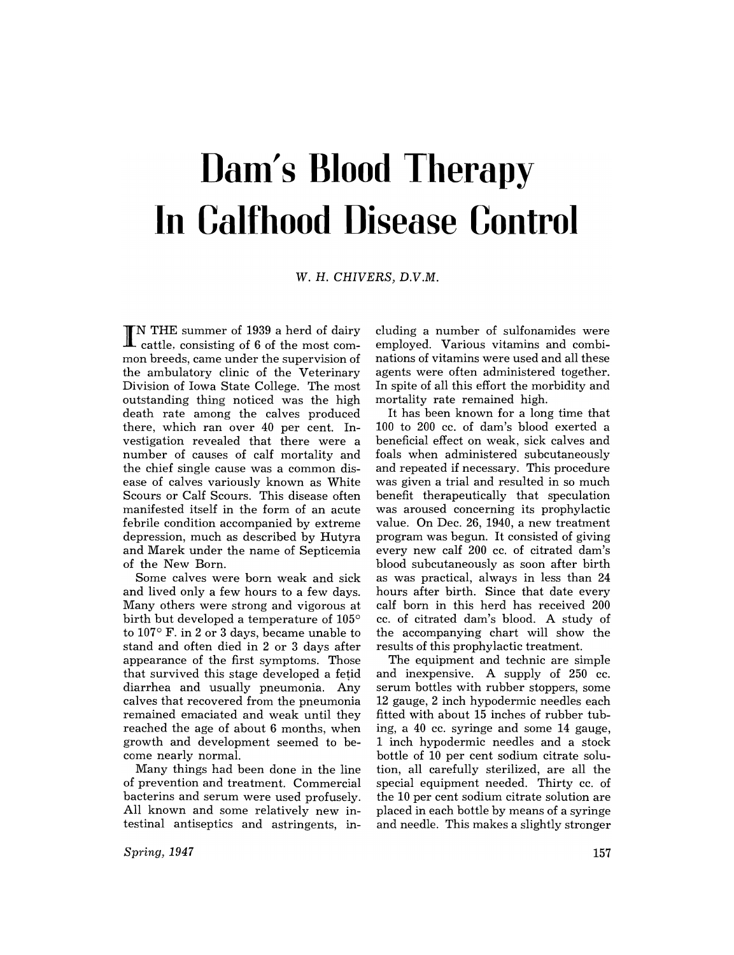## **Dam's Blood Therapy In Calfhood Disease Control**

W. H. CHIVERS, D.V.M.

**IN THE summer of 1939 a herd of dairy** cattle. consisting of 6 of the most common breeds, came under the supervision of the ambulatory elinic of the Veterinary Division of Iowa State College. The most outstanding thing noticed was the high death rate among the calves produced there, which ran over 40 per cent. Investigation revealed that there were a number of causes of calf mortality and the chief single cause was a common disease of calves variously known as White Scours or Calf Scours. This disease often manifested itself in the form of an acute febrile condition accompanied by extreme depression, much as described by Hutyra and Marek under the name of Septicemia of the New Born.

Some calves were born weak and sick and lived only a few hours to a few days. Many others were strong and vigorous at birth but developed a temperature of  $105^{\circ}$ to  $107^{\circ}$  F. in 2 or 3 days, became unable to stand and often died in 2 or 3 days after appearance of the first symptoms. Those that survived this stage developed a fetid diarrhea and usually pneumonia. Any calves that recovered from the pneumonia remained emaciated and weak until they reached the age of about 6 months, when growth and development seemed to become nearly normal.

Many things had been done in the line of prevention and treatment. Commercial bacterins and serum were used profusely. All known and some relatively new intestinal antiseptics and astringents, in-

*Spring, 1947* 

eluding a number of sulfonamides were employed. Various vitamins and combinations of vitamins were used and all these agents were often administered together. In spite of all this effort the morbidity and mortality rate remained high.

It has been known for a long time that 100 to 200 cc. of dam's blood exerted a beneficial effect on weak, sick calves and foals when administered subcutaneously and repeated if necessary. This procedure was given a trial and resulted in so much benefit therapeutically that speculation was aroused concerning its prophylactic value. On Dec. 26, 1940, a new treatment program was begun. It consisted of giving every new calf 200 cc. of citrated dam's blood subcutaneously as soon after birth as was practical, always in less than 24 hours after birth. Since that date every calf born in this herd has received 200 cc. of citrated dam's blood. A study of the accompanying chart will show the results of this prophylactic treatment.

The equipment and technic are simple and inexpensive. A supply of 250 cc. serum bottles with rubber stoppers, some 12 gauge, 2 inch hypodermic needles each fitted with about 15 inches of rubber tubing, a 40 cc. syringe and some 14 gauge, 1 inch hypodermic needles and a stock bottle of 10 per cent sodium citrate solution, all carefully sterilized, are all the special equipment needed. Thirty cc. of the 10 per cent sodium citrate solution are placed in each bottle by means of a syringe and needle. This makes a slightly stronger